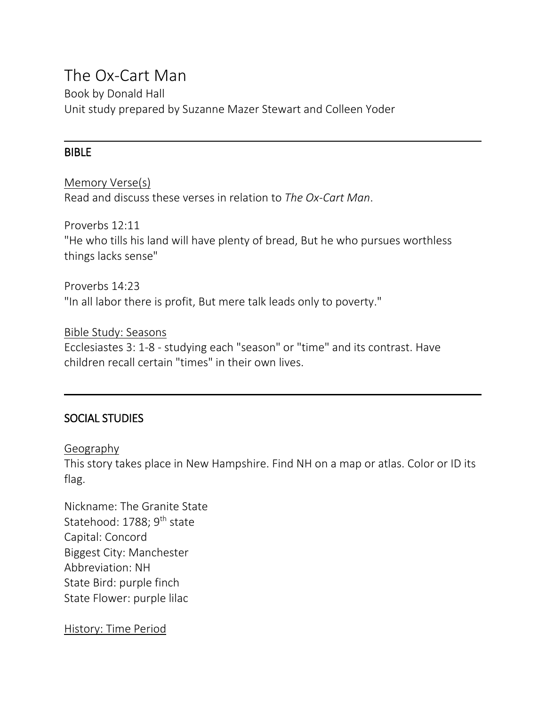# The Ox-Cart Man

Book by Donald Hall Unit study prepared by Suzanne Mazer Stewart and Colleen Yoder

#### BIBLE

Memory Verse(s) Read and discuss these verses in relation to *The Ox-Cart Man*.

Proverbs 12:11

"He who tills his land will have plenty of bread, But he who pursues worthless things lacks sense"

Proverbs 14:23 "In all labor there is profit, But mere talk leads only to poverty."

Bible Study: Seasons Ecclesiastes 3: 1-8 - studying each "season" or "time" and its contrast. Have children recall certain "times" in their own lives.

# SOCIAL STUDIES

Geography

This story takes place in New Hampshire. Find NH on a map or atlas. Color or ID its flag.

Nickname: The Granite State Statehood: 1788; 9<sup>th</sup> state Capital: Concord Biggest City: Manchester Abbreviation: NH State Bird: purple finch State Flower: purple lilac

History: Time Period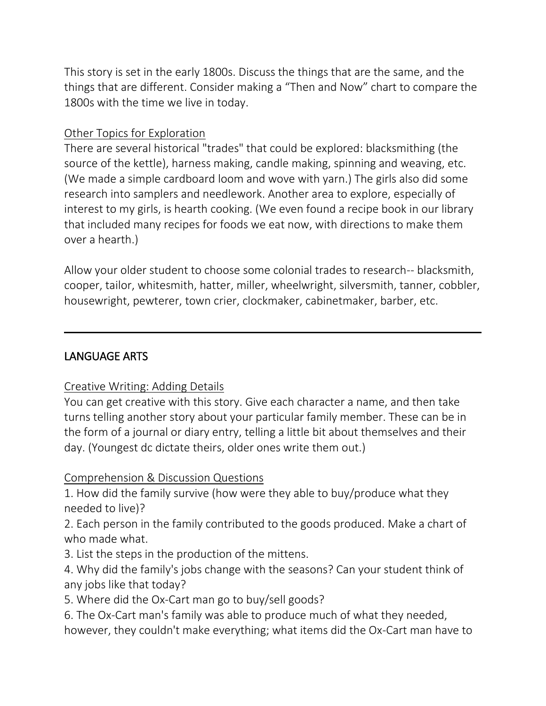This story is set in the early 1800s. Discuss the things that are the same, and the things that are different. Consider making a "Then and Now" chart to compare the 1800s with the time we live in today.

## Other Topics for Exploration

There are several historical "trades" that could be explored: blacksmithing (the source of the kettle), harness making, candle making, spinning and weaving, etc. (We made a simple cardboard loom and wove with yarn.) The girls also did some research into samplers and needlework. Another area to explore, especially of interest to my girls, is hearth cooking. (We even found a recipe book in our library that included many recipes for foods we eat now, with directions to make them over a hearth.)

Allow your older student to choose some colonial trades to research-- blacksmith, cooper, tailor, whitesmith, hatter, miller, wheelwright, silversmith, tanner, cobbler, housewright, pewterer, town crier, clockmaker, cabinetmaker, barber, etc.

# LANGUAGE ARTS

# Creative Writing: Adding Details

You can get creative with this story. Give each character a name, and then take turns telling another story about your particular family member. These can be in the form of a journal or diary entry, telling a little bit about themselves and their day. (Youngest dc dictate theirs, older ones write them out.)

# Comprehension & Discussion Questions

1. How did the family survive (how were they able to buy/produce what they needed to live)?

2. Each person in the family contributed to the goods produced. Make a chart of who made what.

3. List the steps in the production of the mittens.

4. Why did the family's jobs change with the seasons? Can your student think of any jobs like that today?

5. Where did the Ox-Cart man go to buy/sell goods?

6. The Ox-Cart man's family was able to produce much of what they needed, however, they couldn't make everything; what items did the Ox-Cart man have to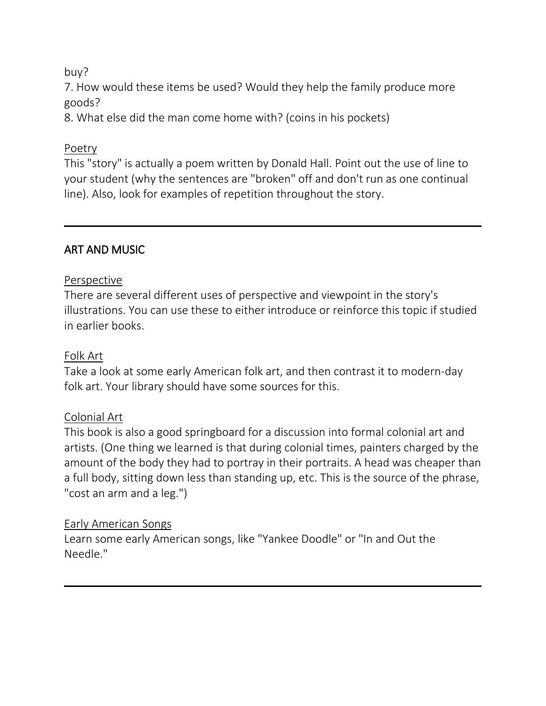## buy?

7. How would these items be used? Would they help the family produce more goods?

8. What else did the man come home with? (coins in his pockets)

## Poetry

This "story" is actually a poem written by Donald Hall. Point out the use of line to your student (why the sentences are "broken" off and don't run as one continual line). Also, look for examples of repetition throughout the story.

# ART AND MUSIC

## Perspective

There are several different uses of perspective and viewpoint in the story's illustrations. You can use these to either introduce or reinforce this topic if studied in earlier books.

## Folk Art

Take a look at some early American folk art, and then contrast it to modern-day folk art. Your library should have some sources for this.

#### Colonial Art

This book is also a good springboard for a discussion into formal colonial art and artists. (One thing we learned is that during colonial times, painters charged by the amount of the body they had to portray in their portraits. A head was cheaper than a full body, sitting down less than standing up, etc. This is the source of the phrase, "cost an arm and a leg.")

#### Early American Songs

Learn some early American songs, like "Yankee Doodle" or "In and Out the Needle."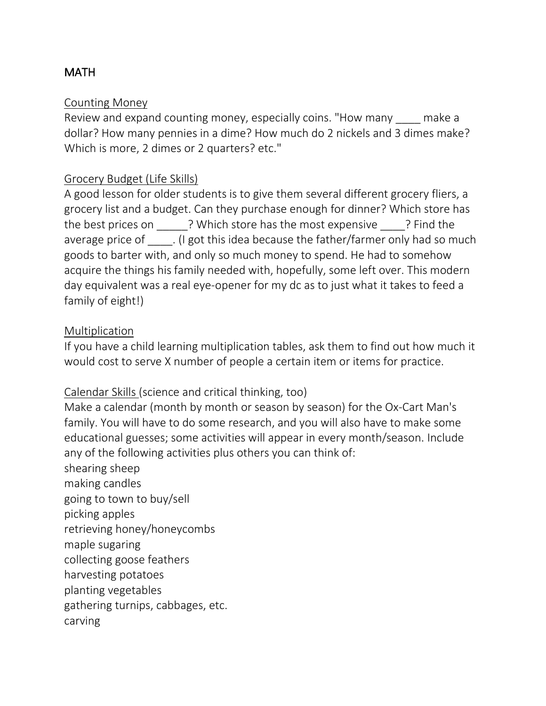# **MATH**

#### Counting Money

Review and expand counting money, especially coins. "How many make a dollar? How many pennies in a dime? How much do 2 nickels and 3 dimes make? Which is more, 2 dimes or 2 quarters? etc."

## Grocery Budget (Life Skills)

A good lesson for older students is to give them several different grocery fliers, a grocery list and a budget. Can they purchase enough for dinner? Which store has the best prices on \_\_\_\_\_\_? Which store has the most expensive \_\_\_\_\_? Find the average price of **contingly** (I got this idea because the father/farmer only had so much goods to barter with, and only so much money to spend. He had to somehow acquire the things his family needed with, hopefully, some left over. This modern day equivalent was a real eye-opener for my dc as to just what it takes to feed a family of eight!)

#### Multiplication

If you have a child learning multiplication tables, ask them to find out how much it would cost to serve X number of people a certain item or items for practice.

# Calendar Skills (science and critical thinking, too)

Make a calendar (month by month or season by season) for the Ox-Cart Man's family. You will have to do some research, and you will also have to make some educational guesses; some activities will appear in every month/season. Include any of the following activities plus others you can think of:

shearing sheep making candles going to town to buy/sell picking apples retrieving honey/honeycombs maple sugaring collecting goose feathers harvesting potatoes planting vegetables gathering turnips, cabbages, etc. carving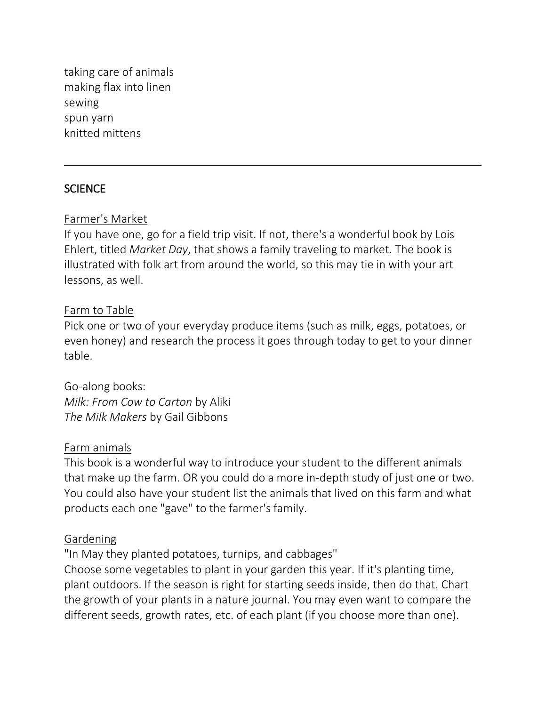taking care of animals making flax into linen sewing spun yarn knitted mittens

## SCIENCE

#### Farmer's Market

If you have one, go for a field trip visit. If not, there's a wonderful book by Lois Ehlert, titled *Market Day*, that shows a family traveling to market. The book is illustrated with folk art from around the world, so this may tie in with your art lessons, as well.

#### Farm to Table

Pick one or two of your everyday produce items (such as milk, eggs, potatoes, or even honey) and research the process it goes through today to get to your dinner table.

Go-along books: *Milk: From Cow to Carton* by Aliki *The Milk Makers* by Gail Gibbons

#### Farm animals

This book is a wonderful way to introduce your student to the different animals that make up the farm. OR you could do a more in-depth study of just one or two. You could also have your student list the animals that lived on this farm and what products each one "gave" to the farmer's family.

#### Gardening

"In May they planted potatoes, turnips, and cabbages"

Choose some vegetables to plant in your garden this year. If it's planting time, plant outdoors. If the season is right for starting seeds inside, then do that. Chart the growth of your plants in a nature journal. You may even want to compare the different seeds, growth rates, etc. of each plant (if you choose more than one).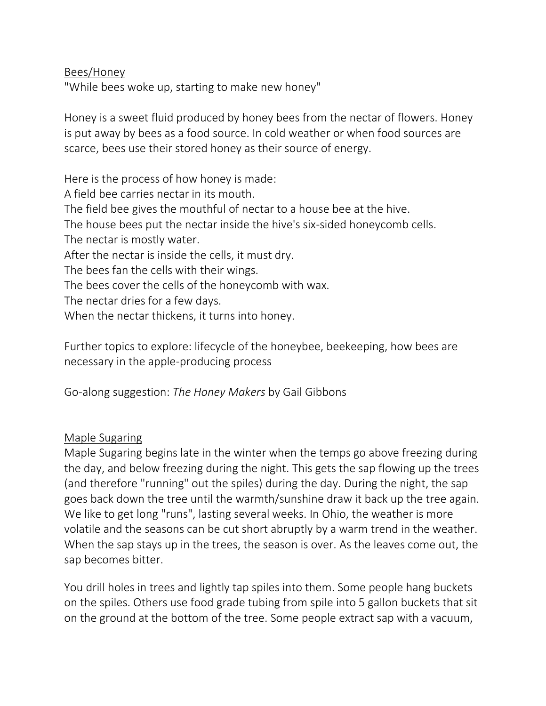Bees/Honey

"While bees woke up, starting to make new honey"

Honey is a sweet fluid produced by honey bees from the nectar of flowers. Honey is put away by bees as a food source. In cold weather or when food sources are scarce, bees use their stored honey as their source of energy.

Here is the process of how honey is made: A field bee carries nectar in its mouth. The field bee gives the mouthful of nectar to a house bee at the hive. The house bees put the nectar inside the hive's six-sided honeycomb cells. The nectar is mostly water. After the nectar is inside the cells, it must dry. The bees fan the cells with their wings. The bees cover the cells of the honeycomb with wax. The nectar dries for a few days. When the nectar thickens, it turns into honey.

Further topics to explore: lifecycle of the honeybee, beekeeping, how bees are necessary in the apple-producing process

Go-along suggestion: *The Honey Makers* by Gail Gibbons

#### Maple Sugaring

Maple Sugaring begins late in the winter when the temps go above freezing during the day, and below freezing during the night. This gets the sap flowing up the trees (and therefore "running" out the spiles) during the day. During the night, the sap goes back down the tree until the warmth/sunshine draw it back up the tree again. We like to get long "runs", lasting several weeks. In Ohio, the weather is more volatile and the seasons can be cut short abruptly by a warm trend in the weather. When the sap stays up in the trees, the season is over. As the leaves come out, the sap becomes bitter.

You drill holes in trees and lightly tap spiles into them. Some people hang buckets on the spiles. Others use food grade tubing from spile into 5 gallon buckets that sit on the ground at the bottom of the tree. Some people extract sap with a vacuum,